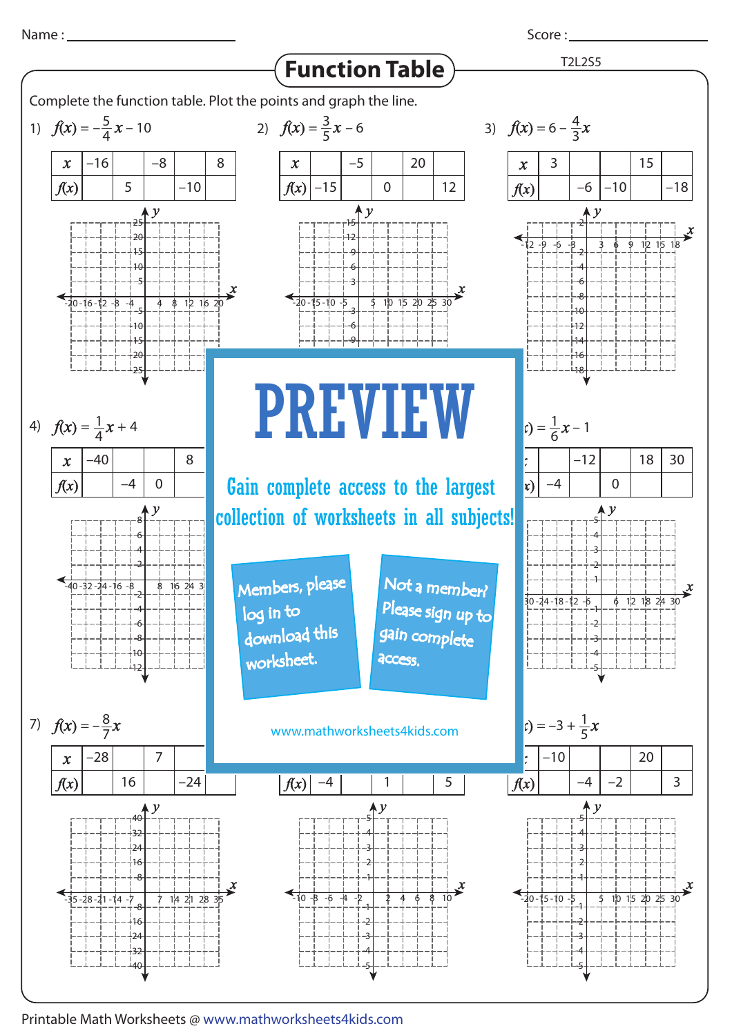

Score : \_\_\_\_\_\_\_



Printable Math Worksheets @ www.mathworksheets4kids.com